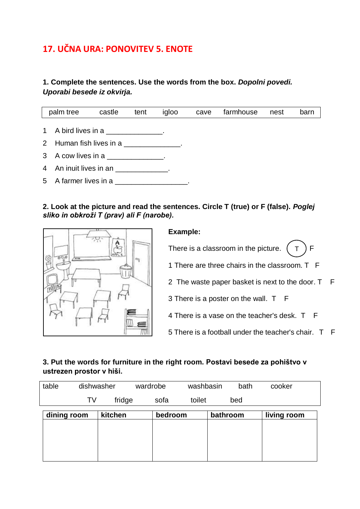# **17. UČNA URA: PONOVITEV 5. ENOTE**

#### **1. Complete the sentences. Use the words from the box.** *Dopolni povedi. Uporabi besede iz okvirja.*



**2. Look at the picture and read the sentences. Circle T (true) or F (false).** *Poglej sliko in obkroži T (prav) ali F (narobe).*



# **Example:** There is a classroom in the picture.  $(T) F$ 1 There are three chairs in the classroom. T F 2 The waste paper basket is next to the door. T F 3 There is a poster on the wall. T F 4 There is a vase on the teacher's desk. T F 5 There is a football under the teacher's chair. T F T

### **3. Put the words for furniture in the right room. Postavi besede za pohištvo v ustrezen prostor v hiši.**

| table       | dishwasher |                    | wardrobe | washbasin | bath | cooker      |
|-------------|------------|--------------------|----------|-----------|------|-------------|
|             | TV         | fridge             | sofa     | toilet    | bed  |             |
| dining room |            | kitchen<br>bedroom |          | bathroom  |      | living room |
|             |            |                    |          |           |      |             |